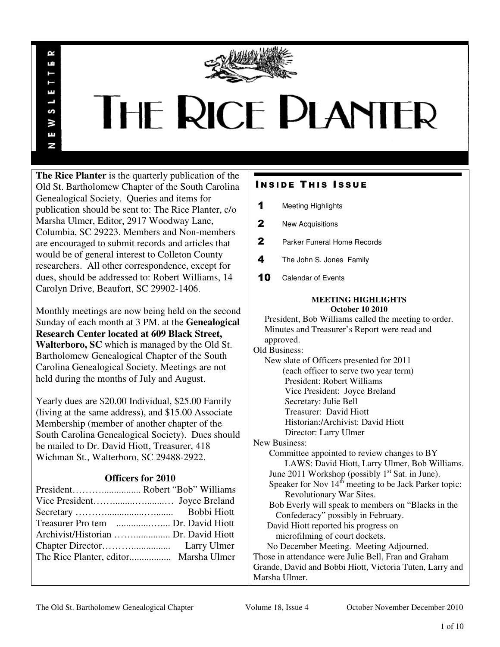

# **THE RICE PLANTER**

**The Rice Planter** is the quarterly publication of the Old St. Bartholomew Chapter of the South Carolina Genealogical Society. Queries and items for publication should be sent to: The Rice Planter, c/o Marsha Ulmer, Editor, 2917 Woodway Lane, Columbia, SC 29223. Members and Non-members are encouraged to submit records and articles that would be of general interest to Colleton County researchers. All other correspondence, except for dues, should be addressed to: Robert Williams, 14 Carolyn Drive, Beaufort, SC 29902-1406.

R uń

ш

S ¥ Ŧ N

Monthly meetings are now being held on the second Sunday of each month at 3 PM. at the **Genealogical Research Center located at 609 Black Street, Walterboro, SC** which is managed by the Old St. Bartholomew Genealogical Chapter of the South Carolina Genealogical Society. Meetings are not held during the months of July and August.

Yearly dues are \$20.00 Individual, \$25.00 Family (living at the same address), and \$15.00 Associate Membership (member of another chapter of the South Carolina Genealogical Society). Dues should be mailed to Dr. David Hiott, Treasurer, 418 Wichman St., Walterboro, SC 29488-2922.

## **Officers for 2010**

| Archivist/Historian  Dr. David Hiott |  |
|--------------------------------------|--|
|                                      |  |
|                                      |  |
|                                      |  |

# **INSIDE THIS ISSUE**

- 1 Meeting Highlights
- 2 New Acquisitions
- 2 Parker Funeral Home Records
- 4 The John S. Jones Family
- 10 Calendar of Events

#### **MEETING HIGHLIGHTS October 10 2010**

 President, Bob Williams called the meeting to order. Minutes and Treasurer's Report were read and approved. Old Business: New slate of Officers presented for 2011 (each officer to serve two year term) President: Robert Williams Vice President: Joyce Breland Secretary: Julie Bell Treasurer: David Hiott Historian:/Archivist: David Hiott Director: Larry Ulmer New Business: Committee appointed to review changes to BY LAWS: David Hiott, Larry Ulmer, Bob Williams. June 2011 Workshop (possibly  $1<sup>st</sup>$  Sat. in June). Speaker for Nov  $14<sup>th</sup>$  meeting to be Jack Parker topic: Revolutionary War Sites. Bob Everly will speak to members on "Blacks in the Confederacy" possibly in February. David Hiott reported his progress on microfilming of court dockets. No December Meeting. Meeting Adjourned. Those in attendance were Julie Bell, Fran and Graham Grande, David and Bobbi Hiott, Victoria Tuten, Larry and Marsha Ulmer.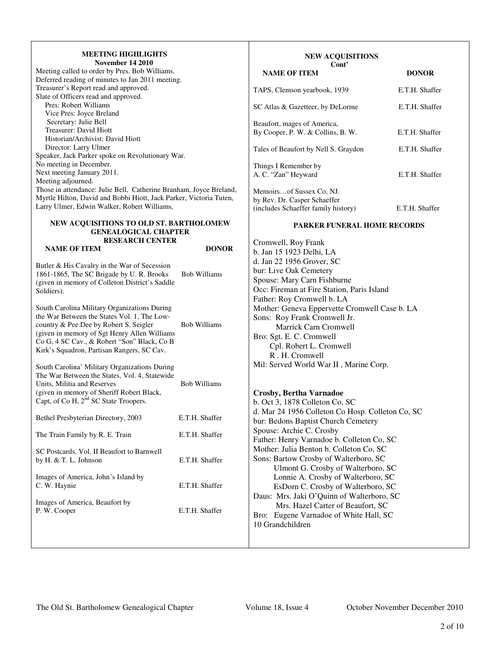#### **MEETING HIGHLIGHTS November 14 2010**

| Meeting called to order by Pres. Bob Williams.                     |
|--------------------------------------------------------------------|
| Deferred reading of minutes to Jan 2011 meeting.                   |
| Treasurer's Report read and approved.                              |
| Slate of Officers read and approved.                               |
| Pres: Robert Williams                                              |
| Vice Pres: Joyce Breland                                           |
| Secretary: Julie Bell                                              |
| Treasurer: David Hiott                                             |
| Historian/Archivist: David Hiott                                   |
| Director: Larry Ulmer                                              |
| Speaker, Jack Parker spoke on Revolutionary War.                   |
| No meeting in December.                                            |
| Next meeting January 2011.                                         |
| Meeting adjourned.                                                 |
| Those in attendance: Julie Bell, Catherine Branham, Joyce Breland, |
| Myrtle Hilton, David and Bobbi Hiott, Jack Parker, Victoria Tuten, |
| Larry Ulmer, Edwin Walker, Robert Williams,                        |
|                                                                    |

#### **NEW ACQUISITIONS TO OLD ST. BARTHOLOMEW GENEALOGICAL CHAPTER RESEARCH CENTER NAME OF ITEM DONOR**

Butler & His Cavalry in the War of Secession 1861-1865, The SC Brigade by U. R. Brooks Bob Williams (given in memory of Colleton District's Saddle Soldiers). South Carolina Military Organizations During the War Between the States Vol. 1, The Lowcountry & Pee Dee by Robert S. Seigler Bob Williams (given in memory of Sgt Henry Allen Williams Co G, 4 SC Cav., & Robert "Son" Black, Co B Kirk's Squadron, Partisan Rangers, SC Cav. South Carolina' Military Organizations During The War Between the States, Vol. 4, Statewide Units, Militia and Reserves Bob Williams (given in memory of Sheriff Robert Black, Capt, of Co H, 2<sup>nd</sup> SC State Troopers. Bethel Presbyterian Directory, 2003 E.T.H. Shaffer The Train Family by R. E. Train E.T.H. Shaffer SC Postcards, Vol. II Beaufort to Barnwell by H. & T. L. Johnson E.T.H. Shaffer Images of America, John's Island by E.T.H. Shaffer

#### Images of America, Beaufort by P. W. Cooper E.T.H. Shaffer

# **NEW ACQUISITIONS Cont' NAME OF ITEM DONOR** TAPS, Clemson yearbook, 1939 E.T.H. Shaffer SC Atlas & Gazetteer, by DeLorme E.T.H. Shaffer Beaufort, mages of America, By Cooper, P. W. & Collins, B. W. E.T.H. Shaffer Tales of Beaufort by Nell S. Graydon E.T.H. Shaffer Things I Remember by A. C. "Zan" Heyward E.T.H. Shaffer Memoirs…of Sussex Co, NJ. by Rev. Dr. Casper Schaeffer (includes Schaeffer family history) E.T.H. Shaffer

#### **PARKER FUNERAL HOME RECORDS**

Cromwell, Roy Frank b. Jan 15 1923 Delhi, LA d. Jan 22 1956 Grover, SC bur: Live Oak Cemetery Spouse: Mary Carn Fishburne Occ: Fireman at Fire Station, Paris Island Father: Roy Cromwell b. LA Mother: Geneva Eppervette Cromwell Case b. LA Sons: Roy Frank Cromwell Jr. Marrick Carn Cromwell Bro: Sgt. E. C. Cromwell Cpl. Robert L. Cromwell R . H. Cromwell Mil: Served World War II , Marine Corp.

## **Crosby, Bertha Varnadoe**

b. Oct 3, 1878 Colleton Co, SC d. Mar 24 1956 Colleton Co Hosp. Colleton Co, SC bur: Bedons Baptist Church Cemetery Spouse: Archie C. Crosby Father: Henry Varnadoe b. Colleton Co, SC Mother: Julia Benton b. Colleton Co, SC Sons: Bartow Crosby of Walterboro, SC Ulmont G. Crosby of Walterboro, SC Lonnie A. Crosby of Walterboro, SC EsDorn C. Crosby of Walterboro, SC Daus: Mrs. Jaki O'Quinn of Walterboro, SC Mrs. Hazel Carter of Beaufort, SC Bro: Eugene Varnadoe of White Hall, SC 10 Grandchildren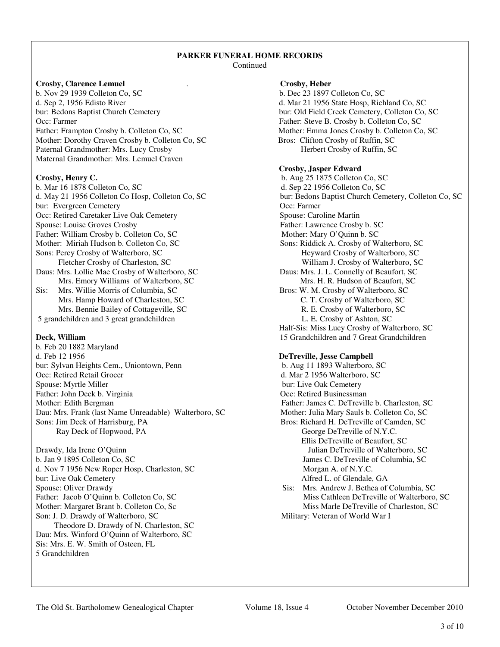#### **PARKER FUNERAL HOME RECORDS**  Continued

## **Crosby, Clarence Lemuel** . **Crosby, Heber**

b. Nov 29 1939 Colleton Co, SC b. Dec 23 1897 Colleton Co, SC d. Sep 2, 1956 Edisto River d. Mar 21 1956 State Hosp, Richland Co, SC bur: Bedons Baptist Church Cemetery bur: Old Field Creek Cemetery, Colleton Co, SC Occ: Farmer Father: Steve B. Crosby b. Colleton Co, SC Father: Frampton Crosby b. Colleton Co, SC Mother: Emma Jones Crosby b. Colleton Co, SC Mother: Dorothy Craven Crosby b. Colleton Co, SC Bros: Clifton Crosby of Ruffin, SC<br>Paternal Grandmother: Mrs. Lucy Crosby Bros: Clifton Crosby of Ruffin, SC Herbert Crosby of Ruffin, SC Paternal Grandmother: Mrs. Lucy Crosby Maternal Grandmother: Mrs. Lemuel Craven

b. Mar 16 1878 Colleton Co, SC d. Sep 22 1956 Colleton Co, SC bur: Evergreen Cemetery Occ: Retired Caretaker Live Oak Cemetery Spouse: Caroline Martin Spouse: Louise Groves Crosby Father: Lawrence Crosby b. SC Father: William Crosby b. Colleton Co, SC Mother: Mary O'Quinn b. SC Mother: Miriah Hudson b. Colleton Co, SC Sons: Riddick A. Crosby of Walterboro, SC Sons: Percy Crosby of Walterboro, SC Heyward Crosby of Walterboro, SC Fletcher Crosby of Charleston, SC William J. Crosby of Walterboro, SC Daus: Mrs. Lollie Mae Crosby of Walterboro, SC Daus: Mrs. J. L. Connelly of Beaufort, SC Mrs. Emory Williams of Walterboro, SC Mrs. H. R. Hudson of Beaufort, SC Sis: Mrs. Willie Morris of Columbia, SC Bros: W. M. Crosby of Walterboro, SC Mrs. Hamp Howard of Charleston, SC C. T. Crosby of Walterboro, SC

5 grandchildren and 3 great grandchildren

b. Feb 20 1882 Maryland d. Feb 12 1956 **DeTreville, Jesse Campbell** bur: Sylvan Heights Cem., Uniontown, Penn b. Aug 11 1893 Walterboro, SC Occ: Retired Retail Grocer d. Mar 2 1956 Walterboro, SC Spouse: Myrtle Miller bur: Live Oak Cemetery Father: John Deck b. Virginia **Occ: Retired Businessman** Mother: Edith Bergman Father: James C. DeTreville b. Charleston, SC Dau: Mrs. Frank (last Name Unreadable) Walterboro, SC Mother: Julia Mary Sauls b. Colleton Co, SC Sons: Jim Deck of Harrisburg, PA Bros: Richard H. DeTreville of Camden, SC Ray Deck of Hopwood, PA George DeTreville of N.Y.C.

Drawdy, Ida Irene O'Quinn **Details** and Details and Details and Details and Details and Details and Details and Details and Details and Details and Details are provided as  $\overline{S}$  and Details are provided as  $\overline{S}$  and b. Jan 9 1895 Colleton Co, SC James C. DeTreville of Columbia, SC d. Nov 7 1956 New Roper Hosp, Charleston, SC Morgan A. of N.Y.C. bur: Live Oak Cemetery **Alfred L. of Glendale**, GA Spouse: Oliver Drawdy Sis: Mrs. Andrew J. Bethea of Columbia, SC Mother: Margaret Brant b. Colleton Co, Sc Miss Marle DeTreville of Charleston, SC Son: J. D. Drawdy of Walterboro, SC Military: Veteran of World War I Theodore D. Drawdy of N. Charleston, SC Dau: Mrs. Winford O'Quinn of Walterboro, SC Sis: Mrs. E. W. Smith of Osteen, FL 5 Grandchildren

## **Crosby, Jasper Edward**

**Crosby, Henry C.** b. Aug 25 1875 Colleton Co, SC d. May 21 1956 Colleton Co Hosp, Colleton Co, SC bur: Bedons Baptist Church Cemetery, Colleton Co, SC Mrs. Bennie Bailey of Cottageville, SC<br>
dchildren and 3 great grandchildren<br>
L. E. Crosby of Ashton, SC<br>
L. E. Crosby of Ashton, SC Half-Sis: Miss Lucy Crosby of Walterboro, SC **Deck, William** 15 Grandchildren and 7 Great Grandchildren

Ellis DeTreville of Beaufort, SC

Father: Jacob O'Quinn b. Colleton Co, SC Miss Cathleen DeTreville of Walterboro, SC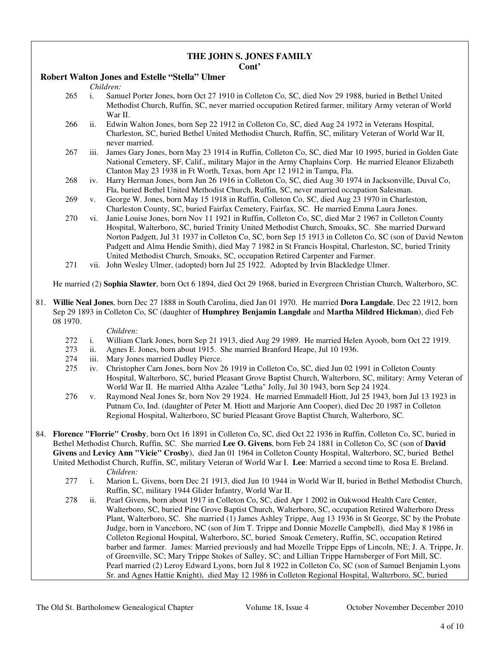# **THE JOHN S. JONES FAMILY**

## **Cont'**

## **Robert Walton Jones and Estelle "Stella" Ulmer**

*Children:*

- 265 i. Samuel Porter Jones, born Oct 27 1910 in Colleton Co, SC, died Nov 29 1988, buried in Bethel United Methodist Church, Ruffin, SC, never married occupation Retired farmer, military Army veteran of World War II.
- 266 ii. Edwin Walton Jones, born Sep 22 1912 in Colleton Co, SC, died Aug 24 1972 in Veterans Hospital, Charleston, SC, buried Bethel United Methodist Church, Ruffin, SC, military Veteran of World War II, never married.
- 267 iii. James Gary Jones, born May 23 1914 in Ruffin, Colleton Co, SC, died Mar 10 1995, buried in Golden Gate National Cemetery, SF, Calif., military Major in the Army Chaplains Corp. He married Eleanor Elizabeth Clanton May 23 1938 in Ft Worth, Texas, born Apr 12 1912 in Tampa, Fla.
- 268 iv. Harry Herman Jones, born Jun 26 1916 in Colleton Co, SC, died Aug 30 1974 in Jacksonville, Duval Co, Fla, buried Bethel United Methodist Church, Ruffin, SC, never married occupation Salesman.
- 269 v. George W. Jones, born May 15 1918 in Ruffin, Colleton Co, SC, died Aug 23 1970 in Charleston, Charleston County, SC, buried Fairfax Cemetery, Fairfax, SC. He married Emma Laura Jones.
- 270 vi. Janie Louise Jones, born Nov 11 1921 in Ruffin, Colleton Co, SC, died Mar 2 1967 in Colleton County Hospital, Walterboro, SC, buried Trinity United Methodist Church, Smoaks, SC. She married Durward Norton Padgett, Jul 31 1937 in Colleton Co, SC, born Sep 15 1913 in Colleton Co, SC (son of David Newton Padgett and Alma Hendie Smith), died May 7 1982 in St Francis Hospital, Charleston, SC, buried Trinity United Methodist Church, Smoaks, SC, occupation Retired Carpenter and Farmer.
- 271 vii. John Wesley Ulmer, (adopted) born Jul 25 1922. Adopted by Irvin Blackledge Ulmer.

He married (2) **Sophia Slawter**, born Oct 6 1894, died Oct 29 1968, buried in Evergreen Christian Church, Walterboro, SC.

81. **Willie Neal Jones**, born Dec 27 1888 in South Carolina, died Jan 01 1970. He married **Dora Langdale**, Dec 22 1912, born Sep 29 1893 in Colleton Co, SC (daughter of **Humphrey Benjamin Langdale** and **Martha Mildred Hickman**), died Feb 08 1970.

- 272 i. William Clark Jones, born Sep 21 1913, died Aug 29 1989. He married Helen Ayoob, born Oct 22 1919.
- 273 ii. Agnes E. Jones, born about 1915. She married Branford Heape, Jul 10 1936.<br>274 iii. Mary Jones married Dudley Pierce.
- iii. Mary Jones married Dudley Pierce.
- 275 iv. Christopher Carn Jones, born Nov 26 1919 in Colleton Co, SC, died Jun 02 1991 in Colleton County Hospital, Walterboro, SC, buried Pleasant Grove Baptist Church, Walterboro, SC, military: Army Veteran of World War II. He married Altha Azalee "Letha" Jolly, Jul 30 1943, born Sep 24 1924.
- 276 v. Raymond Neal Jones Sr, born Nov 29 1924. He married Emmadell Hiott, Jul 25 1943, born Jul 13 1923 in Putnam Co, Ind. (daughter of Peter M. Hiott and Marjorie Ann Cooper), died Dec 20 1987 in Colleton Regional Hospital, Walterboro, SC buried Pleasant Grove Baptist Church, Walterboro, SC.
- 84. **Florence "Florrie" Crosby**, born Oct 16 1891 in Colleton Co, SC, died Oct 22 1936 in Ruffin, Colleton Co, SC, buried in Bethel Methodist Church, Ruffin, SC. She married **Lee O. Givens**, born Feb 24 1881 in Colleton Co, SC (son of **David Givens** and **Levicy Ann "Vicie" Crosby**), died Jan 01 1964 in Colleton County Hospital, Walterboro, SC, buried Bethel United Methodist Church, Ruffin, SC, military Veteran of World War I. **Lee**: Married a second time to Rosa E. Breland. *Children:*
	- 277 i. Marion L. Givens, born Dec 21 1913, died Jun 10 1944 in World War II, buried in Bethel Methodist Church, Ruffin, SC, military 1944 Glider Infantry, World War II.
	- 278 ii. Pearl Givens, born about 1917 in Colleton Co, SC, died Apr 1 2002 in Oakwood Health Care Center, Walterboro, SC, buried Pine Grove Baptist Church, Walterboro, SC, occupation Retired Walterboro Dress Plant, Walterboro, SC. She married (1) James Ashley Trippe, Aug 13 1936 in St George, SC by the Probate Judge, born in Vanceboro, NC (son of Jim T. Trippe and Donnie Mozelle Campbell), died May 8 1986 in Colleton Regional Hospital, Walterboro, SC, buried Smoak Cemetery, Ruffin, SC, occupation Retired barber and farmer. James: Married previously and had Mozelle Trippe Epps of Lincoln, NE; J. A. Trippe, Jr. of Greenville, SC; Mary Trippe Stokes of Salley, SC; and Lillian Trippe Harnsberger of Fort Mill, SC. Pearl married (2) Leroy Edward Lyons, born Jul 8 1922 in Colleton Co, SC (son of Samuel Benjamin Lyons Sr. and Agnes Hattie Knight), died May 12 1986 in Colleton Regional Hospital, Walterboro, SC, buried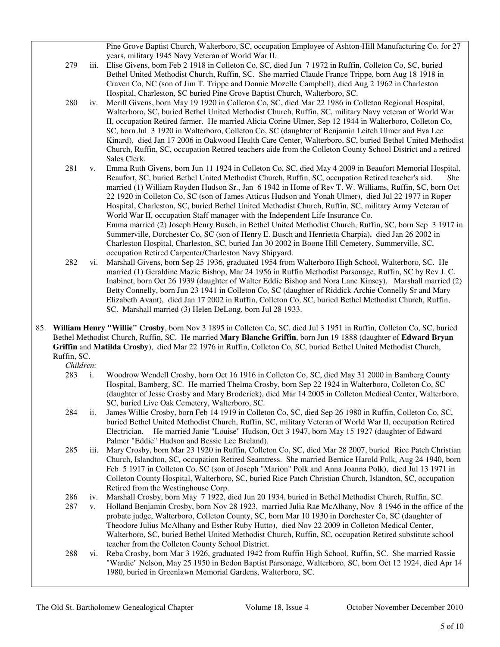Pine Grove Baptist Church, Walterboro, SC, occupation Employee of Ashton-Hill Manufacturing Co. for 27 years, military 1945 Navy Veteran of World War II.

- 279 iii. Elise Givens, born Feb 2 1918 in Colleton Co, SC, died Jun 7 1972 in Ruffin, Colleton Co, SC, buried Bethel United Methodist Church, Ruffin, SC. She married Claude France Trippe, born Aug 18 1918 in Craven Co, NC (son of Jim T. Trippe and Donnie Mozelle Campbell), died Aug 2 1962 in Charleston Hospital, Charleston, SC buried Pine Grove Baptist Church, Walterboro, SC.
- 280 iv. Merill Givens, born May 19 1920 in Colleton Co, SC, died Mar 22 1986 in Colleton Regional Hospital, Walterboro, SC, buried Bethel United Methodist Church, Ruffin, SC, military Navy veteran of World War II, occupation Retired farmer. He married Alicia Corine Ulmer, Sep 12 1944 in Walterboro, Colleton Co, SC, born Jul 3 1920 in Walterboro, Colleton Co, SC (daughter of Benjamin Leitch Ulmer and Eva Lee Kinard), died Jan 17 2006 in Oakwood Health Care Center, Walterboro, SC, buried Bethel United Methodist Church, Ruffin, SC, occupation Retired teachers aide from the Colleton County School District and a retired Sales Clerk.
- 281 v. Emma Ruth Givens, born Jun 11 1924 in Colleton Co, SC, died May 4 2009 in Beaufort Memorial Hospital, Beaufort, SC, buried Bethel United Methodist Church, Ruffin, SC, occupation Retired teacher's aid. She married (1) William Royden Hudson Sr., Jan 6 1942 in Home of Rev T. W. Williams, Ruffin, SC, born Oct 22 1920 in Colleton Co, SC (son of James Atticus Hudson and Yonah Ulmer), died Jul 22 1977 in Roper Hospital, Charleston, SC, buried Bethel United Methodist Church, Ruffin, SC, military Army Veteran of World War II, occupation Staff manager with the Independent Life Insurance Co. Emma married (2) Joseph Henry Busch, in Bethel United Methodist Church, Ruffin, SC, born Sep 3 1917 in Summerville, Dorchester Co, SC (son of Henry E. Busch and Henrietta Charpia), died Jan 26 2002 in Charleston Hospital, Charleston, SC, buried Jan 30 2002 in Boone Hill Cemetery, Summerville, SC, occupation Retired Carpenter/Charleston Navy Shipyard.
- 282 vi. Marshall Givens, born Sep 25 1936, graduated 1954 from Walterboro High School, Walterboro, SC. He married (1) Geraldine Mazie Bishop, Mar 24 1956 in Ruffin Methodist Parsonage, Ruffin, SC by Rev J. C. Inabinet, born Oct 26 1939 (daughter of Walter Eddie Bishop and Nora Lane Kinsey). Marshall married (2) Betty Connelly, born Jun 23 1941 in Colleton Co, SC (daughter of Riddick Archie Connelly Sr and Mary Elizabeth Avant), died Jan 17 2002 in Ruffin, Colleton Co, SC, buried Bethel Methodist Church, Ruffin, SC. Marshall married (3) Helen DeLong, born Jul 28 1933.
- 85. **William Henry "Willie" Crosby**, born Nov 3 1895 in Colleton Co, SC, died Jul 3 1951 in Ruffin, Colleton Co, SC, buried Bethel Methodist Church, Ruffin, SC. He married **Mary Blanche Griffin**, born Jun 19 1888 (daughter of **Edward Bryan Griffin** and **Matilda Crosby**), died Mar 22 1976 in Ruffin, Colleton Co, SC, buried Bethel United Methodist Church, Ruffin, SC.

- 283 i. Woodrow Wendell Crosby, born Oct 16 1916 in Colleton Co, SC, died May 31 2000 in Bamberg County Hospital, Bamberg, SC. He married Thelma Crosby, born Sep 22 1924 in Walterboro, Colleton Co, SC (daughter of Jesse Crosby and Mary Broderick), died Mar 14 2005 in Colleton Medical Center, Walterboro, SC, buried Live Oak Cemetery, Walterboro, SC.
- 284 ii. James Willie Crosby, born Feb 14 1919 in Colleton Co, SC, died Sep 26 1980 in Ruffin, Colleton Co, SC, buried Bethel United Methodist Church, Ruffin, SC, military Veteran of World War II, occupation Retired Electrician. He married Janie "Louise" Hudson, Oct 3 1947, born May 15 1927 (daughter of Edward Palmer "Eddie" Hudson and Bessie Lee Breland).
- 285 iii. Mary Crosby, born Mar 23 1920 in Ruffin, Colleton Co, SC, died Mar 28 2007, buried Rice Patch Christian Church, Islandton, SC, occupation Retired Seamtress. She married Bernice Harold Polk, Aug 24 1940, born Feb 5 1917 in Colleton Co, SC (son of Joseph "Marion" Polk and Anna Joanna Polk), died Jul 13 1971 in Colleton County Hospital, Walterboro, SC, buried Rice Patch Christian Church, Islandton, SC, occupation Retired from the Westinghouse Corp.
- 286 iv. Marshall Crosby, born May 7 1922, died Jun 20 1934, buried in Bethel Methodist Church, Ruffin, SC.
- 287 v. Holland Benjamin Crosby, born Nov 28 1923, married Julia Rae McAlhany, Nov 8 1946 in the office of the probate judge, Walterboro, Colleton County, SC, born Mar 10 1930 in Dorchester Co, SC (daughter of Theodore Julius McAlhany and Esther Ruby Hutto), died Nov 22 2009 in Colleton Medical Center, Walterboro, SC, buried Bethel United Methodist Church, Ruffin, SC, occupation Retired substitute school teacher from the Colleton County School District.
- 288 vi. Reba Crosby, born Mar 3 1926, graduated 1942 from Ruffin High School, Ruffin, SC. She married Rassie "Wardie" Nelson, May 25 1950 in Bedon Baptist Parsonage, Walterboro, SC, born Oct 12 1924, died Apr 14 1980, buried in Greenlawn Memorial Gardens, Walterboro, SC.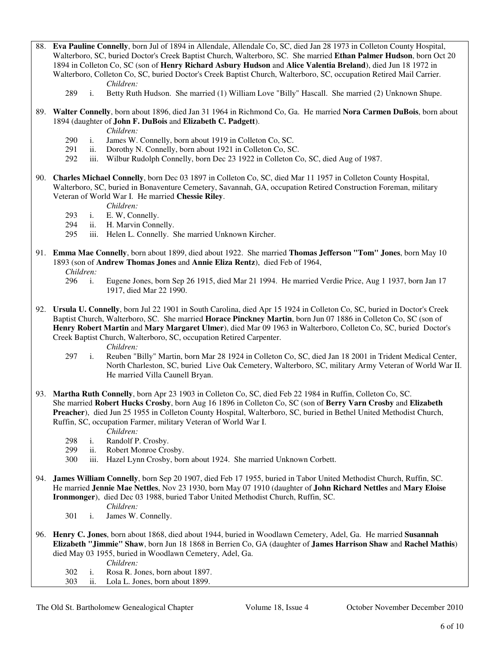88. **Eva Pauline Connelly**, born Jul of 1894 in Allendale, Allendale Co, SC, died Jan 28 1973 in Colleton County Hospital, Walterboro, SC, buried Doctor's Creek Baptist Church, Walterboro, SC. She married **Ethan Palmer Hudson**, born Oct 20 1894 in Colleton Co, SC (son of **Henry Richard Asbury Hudson** and **Alice Valentia Breland**), died Jun 18 1972 in Walterboro, Colleton Co, SC, buried Doctor's Creek Baptist Church, Walterboro, SC, occupation Retired Mail Carrier. *Children:*

289 i. Betty Ruth Hudson. She married (1) William Love "Billy" Hascall. She married (2) Unknown Shupe.

89. **Walter Connelly**, born about 1896, died Jan 31 1964 in Richmond Co, Ga. He married **Nora Carmen DuBois**, born about 1894 (daughter of **John F. DuBois** and **Elizabeth C. Padgett**).

*Children:*

- 290 i. James W. Connelly, born about 1919 in Colleton Co, SC.<br>291 ii. Dorothy N. Connelly, born about 1921 in Colleton Co, SC.
- ii. Dorothy N. Connelly, born about 1921 in Colleton Co, SC.
- 292 iii. Wilbur Rudolph Connelly, born Dec 23 1922 in Colleton Co, SC, died Aug of 1987.
- 90. **Charles Michael Connelly**, born Dec 03 1897 in Colleton Co, SC, died Mar 11 1957 in Colleton County Hospital, Walterboro, SC, buried in Bonaventure Cemetery, Savannah, GA, occupation Retired Construction Foreman, military Veteran of World War I. He married **Chessie Riley**.

*Children:*

- 293 i. E. W, Connelly.
- 294 ii. H. Marvin Connelly.
- 295 iii. Helen L. Connelly. She married Unknown Kircher.
- 91. **Emma Mae Connelly**, born about 1899, died about 1922. She married **Thomas Jefferson "Tom" Jones**, born May 10 1893 (son of **Andrew Thomas Jones** and **Annie Eliza Rentz**), died Feb of 1964,

*Children:*

- 296 i. Eugene Jones, born Sep 26 1915, died Mar 21 1994. He married Verdie Price, Aug 1 1937, born Jan 17 1917, died Mar 22 1990.
- 92. **Ursula U. Connelly**, born Jul 22 1901 in South Carolina, died Apr 15 1924 in Colleton Co, SC, buried in Doctor's Creek Baptist Church, Walterboro, SC. She married **Horace Pinckney Martin**, born Jun 07 1886 in Colleton Co, SC (son of **Henry Robert Martin** and **Mary Margaret Ulmer**), died Mar 09 1963 in Walterboro, Colleton Co, SC, buried Doctor's Creek Baptist Church, Walterboro, SC, occupation Retired Carpenter.

- 297 i. Reuben "Billy" Martin, born Mar 28 1924 in Colleton Co, SC, died Jan 18 2001 in Trident Medical Center, North Charleston, SC, buried Live Oak Cemetery, Walterboro, SC, military Army Veteran of World War II. He married Villa Caunell Bryan.
- 93. **Martha Ruth Connelly**, born Apr 23 1903 in Colleton Co, SC, died Feb 22 1984 in Ruffin, Colleton Co, SC. She married **Robert Hucks Crosby**, born Aug 16 1896 in Colleton Co, SC (son of **Berry Varn Crosby** and **Elizabeth Preacher**), died Jun 25 1955 in Colleton County Hospital, Walterboro, SC, buried in Bethel United Methodist Church, Ruffin, SC, occupation Farmer, military Veteran of World War I.
	- *Children:*
	- 298 i. Randolf P. Crosby.
	- 299 ii. Robert Monroe Crosby.
	- 300 iii. Hazel Lynn Crosby, born about 1924. She married Unknown Corbett.
- 94. **James William Connelly**, born Sep 20 1907, died Feb 17 1955, buried in Tabor United Methodist Church, Ruffin, SC. He married **Jennie Mae Nettles**, Nov 23 1930, born May 07 1910 (daughter of **John Richard Nettles** and **Mary Eloise Ironmonger**), died Dec 03 1988, buried Tabor United Methodist Church, Ruffin, SC. *Children:*
	- 301 i. James W. Connelly.
- 96. **Henry C. Jones**, born about 1868, died about 1944, buried in Woodlawn Cemetery, Adel, Ga. He married **Susannah Elizabeth "Jimmie" Shaw**, born Jun 18 1868 in Berrien Co, GA (daughter of **James Harrison Shaw** and **Rachel Mathis**) died May 03 1955, buried in Woodlawn Cemetery, Adel, Ga.
	-
	- *Children:*<br>302 i. Rosa R. Jo i. Rosa R. Jones, born about 1897.
	- 303 ii. Lola L. Jones, born about 1899.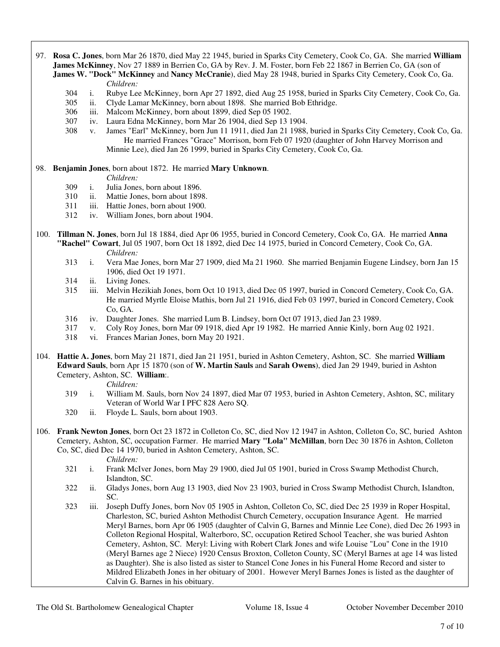- 97. **Rosa C. Jones**, born Mar 26 1870, died May 22 1945, buried in Sparks City Cemetery, Cook Co, GA. She married **William James McKinney**, Nov 27 1889 in Berrien Co, GA by Rev. J. M. Foster, born Feb 22 1867 in Berrien Co, GA (son of **James W. "Dock" McKinney** and **Nancy McCranie**), died May 28 1948, buried in Sparks City Cemetery, Cook Co, Ga. *Children:*
	- 304 i. Rubye Lee McKinney, born Apr 27 1892, died Aug 25 1958, buried in Sparks City Cemetery, Cook Co, Ga.
	- 305 ii. Clyde Lamar McKinney, born about 1898. She married Bob Ethridge.
	- 306 iii. Malcom McKinney, born about 1899, died Sep 05 1902.
	- 307 iv. Laura Edna McKinney, born Mar 26 1904, died Sep 13 1904.
	- 308 v. James "Earl" McKinney, born Jun 11 1911, died Jan 21 1988, buried in Sparks City Cemetery, Cook Co, Ga. He married Frances "Grace" Morrison, born Feb 07 1920 (daughter of John Harvey Morrison and Minnie Lee), died Jan 26 1999, buried in Sparks City Cemetery, Cook Co, Ga.
- 98. **Benjamin Jones**, born about 1872. He married **Mary Unknown**.

*Children:*

- 309 i. Julia Jones, born about 1896.
- 310 ii. Mattie Jones, born about 1898.
- 311 iii. Hattie Jones, born about 1900.
- 312 iv. William Jones, born about 1904.
- 100. **Tillman N. Jones**, born Jul 18 1884, died Apr 06 1955, buried in Concord Cemetery, Cook Co, GA. He married **Anna "Rachel" Cowart**, Jul 05 1907, born Oct 18 1892, died Dec 14 1975, buried in Concord Cemetery, Cook Co, GA.
	- *Children:*<br>313 i. Vera Mae i. Vera Mae Jones, born Mar 27 1909, died Ma 21 1960. She married Benjamin Eugene Lindsey, born Jan 15 1906, died Oct 19 1971.
	- 314 ii. Living Jones.
	- 315 iii. Melvin Hezikiah Jones, born Oct 10 1913, died Dec 05 1997, buried in Concord Cemetery, Cook Co, GA. He married Myrtle Eloise Mathis, born Jul 21 1916, died Feb 03 1997, buried in Concord Cemetery, Cook Co, GA.
	- 316 iv. Daughter Jones. She married Lum B. Lindsey, born Oct 07 1913, died Jan 23 1989.
	- 317 v. Coly Roy Jones, born Mar 09 1918, died Apr 19 1982. He married Annie Kinly, born Aug 02 1921.
	- 318 vi. Frances Marian Jones, born May 20 1921.
- 104. **Hattie A. Jones**, born May 21 1871, died Jan 21 1951, buried in Ashton Cemetery, Ashton, SC. She married **William Edward Sauls**, born Apr 15 1870 (son of **W. Martin Sauls** and **Sarah Owens**), died Jan 29 1949, buried in Ashton Cemetery, Ashton, SC. **William**:.

*Children:*

- 319 i. William M. Sauls, born Nov 24 1897, died Mar 07 1953, buried in Ashton Cemetery, Ashton, SC, military Veteran of World War I PFC 828 Aero SQ.
- 320 ii. Floyde L. Sauls, born about 1903.
- 106. **Frank Newton Jones**, born Oct 23 1872 in Colleton Co, SC, died Nov 12 1947 in Ashton, Colleton Co, SC, buried Ashton Cemetery, Ashton, SC, occupation Farmer. He married **Mary "Lola" McMillan**, born Dec 30 1876 in Ashton, Colleton Co, SC, died Dec 14 1970, buried in Ashton Cemetery, Ashton, SC.

- 321 i. Frank McIver Jones, born May 29 1900, died Jul 05 1901, buried in Cross Swamp Methodist Church, Islandton, SC.
- 322 ii. Gladys Jones, born Aug 13 1903, died Nov 23 1903, buried in Cross Swamp Methodist Church, Islandton, SC.
- 323 iii. Joseph Duffy Jones, born Nov 05 1905 in Ashton, Colleton Co, SC, died Dec 25 1939 in Roper Hospital, Charleston, SC, buried Ashton Methodist Church Cemetery, occupation Insurance Agent. He married Meryl Barnes, born Apr 06 1905 (daughter of Calvin G, Barnes and Minnie Lee Cone), died Dec 26 1993 in Colleton Regional Hospital, Walterboro, SC, occupation Retired School Teacher, she was buried Ashton Cemetery, Ashton, SC. Meryl: Living with Robert Clark Jones and wife Louise "Lou" Cone in the 1910 (Meryl Barnes age 2 Niece) 1920 Census Broxton, Colleton County, SC (Meryl Barnes at age 14 was listed as Daughter). She is also listed as sister to Stancel Cone Jones in his Funeral Home Record and sister to Mildred Elizabeth Jones in her obituary of 2001. However Meryl Barnes Jones is listed as the daughter of Calvin G. Barnes in his obituary.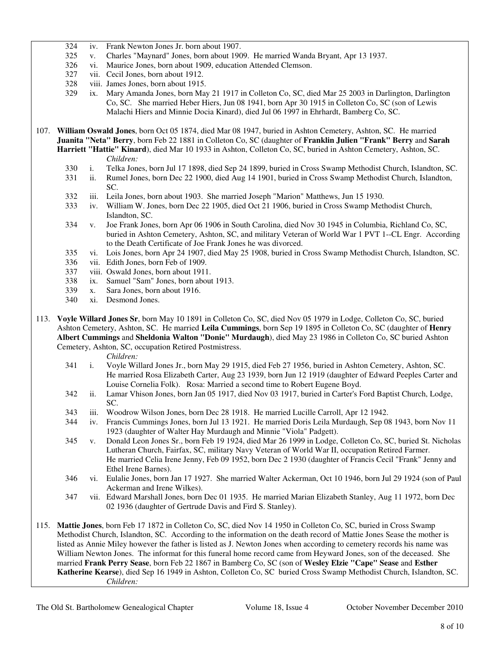- 324 iv. Frank Newton Jones Jr. born about 1907.
- 325 v. Charles "Maynard" Jones, born about 1909. He married Wanda Bryant, Apr 13 1937.
- 326 vi. Maurice Jones, born about 1909, education Attended Clemson.
- 327 vii. Cecil Jones, born about 1912.
- 328 viii. James Jones, born about 1915.
- 329 ix. Mary Amanda Jones, born May 21 1917 in Colleton Co, SC, died Mar 25 2003 in Darlington, Darlington Co, SC. She married Heber Hiers, Jun 08 1941, born Apr 30 1915 in Colleton Co, SC (son of Lewis Malachi Hiers and Minnie Docia Kinard), died Jul 06 1997 in Ehrhardt, Bamberg Co, SC.
- 107. **William Oswald Jones**, born Oct 05 1874, died Mar 08 1947, buried in Ashton Cemetery, Ashton, SC. He married **Juanita "Neta" Berry**, born Feb 22 1881 in Colleton Co, SC (daughter of **Franklin Julien "Frank" Berry** and **Sarah Harriett "Hattie" Kinard**), died Mar 10 1933 in Ashton, Colleton Co, SC, buried in Ashton Cemetery, Ashton, SC. *Children:*
	- 330 i. Telka Jones, born Jul 17 1898, died Sep 24 1899, buried in Cross Swamp Methodist Church, Islandton, SC.
	- 331 ii. Rumel Jones, born Dec 22 1900, died Aug 14 1901, buried in Cross Swamp Methodist Church, Islandton, SC.
	- 332 iii. Leila Jones, born about 1903. She married Joseph "Marion" Matthews, Jun 15 1930.
	- 333 iv. William W. Jones, born Dec 22 1905, died Oct 21 1906, buried in Cross Swamp Methodist Church, Islandton, SC.
	- 334 v. Joe Frank Jones, born Apr 06 1906 in South Carolina, died Nov 30 1945 in Columbia, Richland Co, SC, buried in Ashton Cemetery, Ashton, SC, and military Veteran of World War 1 PVT 1--CL Engr. According to the Death Certificate of Joe Frank Jones he was divorced.
	- 335 vi. Lois Jones, born Apr 24 1907, died May 25 1908, buried in Cross Swamp Methodist Church, Islandton, SC.
	- 336 vii. Edith Jones, born Feb of 1909.
	- 337 viii. Oswald Jones, born about 1911.
	- 338 ix. Samuel "Sam" Jones, born about 1913.
	- 339 x. Sara Jones, born about 1916.
	- 340 xi. Desmond Jones.
- 113. **Voyle Willard Jones Sr**, born May 10 1891 in Colleton Co, SC, died Nov 05 1979 in Lodge, Colleton Co, SC, buried Ashton Cemetery, Ashton, SC. He married **Leila Cummings**, born Sep 19 1895 in Colleton Co, SC (daughter of **Henry Albert Cummings** and **Sheldonia Walton "Donie" Murdaugh**), died May 23 1986 in Colleton Co, SC buried Ashton Cemetery, Ashton, SC, occupation Retired Postmistress.

- 341 i. Voyle Willard Jones Jr., born May 29 1915, died Feb 27 1956, buried in Ashton Cemetery, Ashton, SC. He married Rosa Elizabeth Carter, Aug 23 1939, born Jun 12 1919 (daughter of Edward Peeples Carter and Louise Cornelia Folk). Rosa: Married a second time to Robert Eugene Boyd.
- 342 ii. Lamar Vhison Jones, born Jan 05 1917, died Nov 03 1917, buried in Carter's Ford Baptist Church, Lodge, SC.
- 343 iii. Woodrow Wilson Jones, born Dec 28 1918. He married Lucille Carroll, Apr 12 1942.
- 344 iv. Francis Cummings Jones, born Jul 13 1921. He married Doris Leila Murdaugh, Sep 08 1943, born Nov 11 1923 (daughter of Walter Hay Murdaugh and Minnie "Viola" Padgett).
- 345 v. Donald Leon Jones Sr., born Feb 19 1924, died Mar 26 1999 in Lodge, Colleton Co, SC, buried St. Nicholas Lutheran Church, Fairfax, SC, military Navy Veteran of World War II, occupation Retired Farmer. He married Celia Irene Jenny, Feb 09 1952, born Dec 2 1930 (daughter of Francis Cecil "Frank" Jenny and Ethel Irene Barnes).
- 346 vi. Eulalie Jones, born Jan 17 1927. She married Walter Ackerman, Oct 10 1946, born Jul 29 1924 (son of Paul Ackerman and Irene Wilkes).
- 347 vii. Edward Marshall Jones, born Dec 01 1935. He married Marian Elizabeth Stanley, Aug 11 1972, born Dec 02 1936 (daughter of Gertrude Davis and Fird S. Stanley).
- 115. **Mattie Jones**, born Feb 17 1872 in Colleton Co, SC, died Nov 14 1950 in Colleton Co, SC, buried in Cross Swamp Methodist Church, Islandton, SC. According to the information on the death record of Mattie Jones Sease the mother is listed as Annie Miley however the father is listed as J. Newton Jones when according to cemetery records his name was William Newton Jones. The informat for this funeral home record came from Heyward Jones, son of the deceased. She married **Frank Perry Sease**, born Feb 22 1867 in Bamberg Co, SC (son of **Wesley Elzie "Cape" Sease** and **Esther Katherine Kearse**), died Sep 16 1949 in Ashton, Colleton Co, SC buried Cross Swamp Methodist Church, Islandton, SC. *Children:*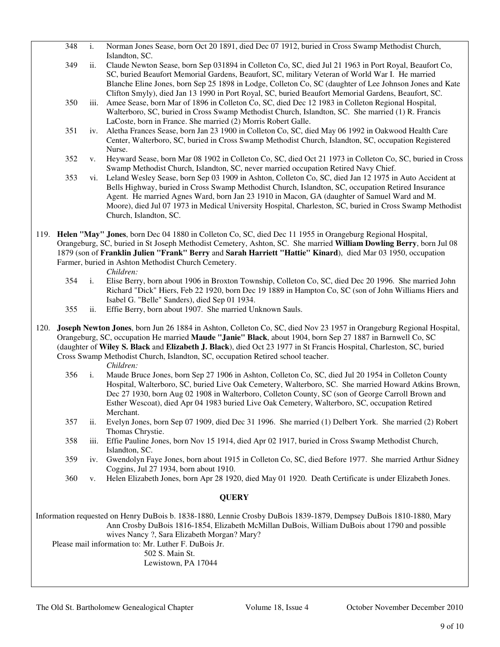|                                                                                                                    | 348                                                                                            | $\mathbf{i}$ . | Norman Jones Sease, born Oct 20 1891, died Dec 07 1912, buried in Cross Swamp Methodist Church,<br>Islandton, SC.                                                                                            |  |
|--------------------------------------------------------------------------------------------------------------------|------------------------------------------------------------------------------------------------|----------------|--------------------------------------------------------------------------------------------------------------------------------------------------------------------------------------------------------------|--|
|                                                                                                                    | 349                                                                                            | ii.            | Claude Newton Sease, born Sep 031894 in Colleton Co, SC, died Jul 21 1963 in Port Royal, Beaufort Co,                                                                                                        |  |
|                                                                                                                    |                                                                                                |                | SC, buried Beaufort Memorial Gardens, Beaufort, SC, military Veteran of World War I. He married                                                                                                              |  |
|                                                                                                                    |                                                                                                |                | Blanche Eline Jones, born Sep 25 1898 in Lodge, Colleton Co, SC (daughter of Lee Johnson Jones and Kate                                                                                                      |  |
|                                                                                                                    |                                                                                                |                | Clifton Smyly), died Jan 13 1990 in Port Royal, SC, buried Beaufort Memorial Gardens, Beaufort, SC.                                                                                                          |  |
|                                                                                                                    | 350                                                                                            | 111.           | Amee Sease, born Mar of 1896 in Colleton Co, SC, died Dec 12 1983 in Colleton Regional Hospital,                                                                                                             |  |
|                                                                                                                    |                                                                                                |                | Walterboro, SC, buried in Cross Swamp Methodist Church, Islandton, SC. She married (1) R. Francis                                                                                                            |  |
|                                                                                                                    |                                                                                                |                | LaCoste, born in France. She married (2) Morris Robert Galle.                                                                                                                                                |  |
|                                                                                                                    | 351                                                                                            | iv.            | Aletha Frances Sease, born Jan 23 1900 in Colleton Co, SC, died May 06 1992 in Oakwood Health Care                                                                                                           |  |
|                                                                                                                    |                                                                                                |                | Center, Walterboro, SC, buried in Cross Swamp Methodist Church, Islandton, SC, occupation Registered                                                                                                         |  |
|                                                                                                                    |                                                                                                |                | Nurse.                                                                                                                                                                                                       |  |
|                                                                                                                    | 352                                                                                            | V.             | Heyward Sease, born Mar 08 1902 in Colleton Co, SC, died Oct 21 1973 in Colleton Co, SC, buried in Cross                                                                                                     |  |
|                                                                                                                    |                                                                                                |                | Swamp Methodist Church, Islandton, SC, never married occupation Retired Navy Chief.                                                                                                                          |  |
|                                                                                                                    | 353                                                                                            | VI.            | Leland Wesley Sease, born Sep 03 1909 in Ashton, Colleton Co, SC, died Jan 12 1975 in Auto Accident at<br>Bells Highway, buried in Cross Swamp Methodist Church, Islandton, SC, occupation Retired Insurance |  |
|                                                                                                                    |                                                                                                |                | Agent. He married Agnes Ward, born Jan 23 1910 in Macon, GA (daughter of Samuel Ward and M.                                                                                                                  |  |
|                                                                                                                    |                                                                                                |                | Moore), died Jul 07 1973 in Medical University Hospital, Charleston, SC, buried in Cross Swamp Methodist                                                                                                     |  |
|                                                                                                                    |                                                                                                |                | Church, Islandton, SC.                                                                                                                                                                                       |  |
|                                                                                                                    |                                                                                                |                |                                                                                                                                                                                                              |  |
|                                                                                                                    |                                                                                                |                | 119. Helen "May" Jones, born Dec 04 1880 in Colleton Co, SC, died Dec 11 1955 in Orangeburg Regional Hospital,                                                                                               |  |
|                                                                                                                    |                                                                                                |                | Orangeburg, SC, buried in St Joseph Methodist Cemetery, Ashton, SC. She married William Dowling Berry, born Jul 08                                                                                           |  |
|                                                                                                                    |                                                                                                |                | 1879 (son of Franklin Julien "Frank" Berry and Sarah Harriett "Hattie" Kinard), died Mar 03 1950, occupation                                                                                                 |  |
|                                                                                                                    |                                                                                                |                | Farmer, buried in Ashton Methodist Church Cemetery.                                                                                                                                                          |  |
|                                                                                                                    | 354                                                                                            | $i$ .          | Children:<br>Elise Berry, born about 1906 in Broxton Township, Colleton Co, SC, died Dec 20 1996. She married John                                                                                           |  |
|                                                                                                                    |                                                                                                |                | Richard "Dick" Hiers, Feb 22 1920, born Dec 19 1889 in Hampton Co, SC (son of John Williams Hiers and                                                                                                        |  |
|                                                                                                                    |                                                                                                |                | Isabel G. "Belle" Sanders), died Sep 01 1934.                                                                                                                                                                |  |
|                                                                                                                    | 355                                                                                            | ii.            | Effie Berry, born about 1907. She married Unknown Sauls.                                                                                                                                                     |  |
|                                                                                                                    |                                                                                                |                |                                                                                                                                                                                                              |  |
|                                                                                                                    |                                                                                                |                | 120. Joseph Newton Jones, born Jun 26 1884 in Ashton, Colleton Co, SC, died Nov 23 1957 in Orangeburg Regional Hospital,                                                                                     |  |
|                                                                                                                    |                                                                                                |                | Orangeburg, SC, occupation He married Maude "Janie" Black, about 1904, born Sep 27 1887 in Barnwell Co, SC                                                                                                   |  |
|                                                                                                                    |                                                                                                |                | (daughter of Wiley S. Black and Elizabeth J. Black), died Oct 23 1977 in St Francis Hospital, Charleston, SC, buried                                                                                         |  |
| Cross Swamp Methodist Church, Islandton, SC, occupation Retired school teacher.<br>Children:                       |                                                                                                |                |                                                                                                                                                                                                              |  |
|                                                                                                                    | 356                                                                                            | i.             | Maude Bruce Jones, born Sep 27 1906 in Ashton, Colleton Co, SC, died Jul 20 1954 in Colleton County                                                                                                          |  |
|                                                                                                                    |                                                                                                |                | Hospital, Walterboro, SC, buried Live Oak Cemetery, Walterboro, SC. She married Howard Atkins Brown,                                                                                                         |  |
|                                                                                                                    |                                                                                                |                | Dec 27 1930, born Aug 02 1908 in Walterboro, Colleton County, SC (son of George Carroll Brown and                                                                                                            |  |
|                                                                                                                    |                                                                                                |                | Esther Wescoat), died Apr 04 1983 buried Live Oak Cemetery, Walterboro, SC, occupation Retired                                                                                                               |  |
|                                                                                                                    |                                                                                                |                | Merchant.                                                                                                                                                                                                    |  |
|                                                                                                                    | 357                                                                                            | ii.            | Evelyn Jones, born Sep 07 1909, died Dec 31 1996. She married (1) Delbert York. She married (2) Robert                                                                                                       |  |
|                                                                                                                    |                                                                                                |                | Thomas Chrystie.                                                                                                                                                                                             |  |
|                                                                                                                    | 358                                                                                            | 111.           | Effie Pauline Jones, born Nov 15 1914, died Apr 02 1917, buried in Cross Swamp Methodist Church,                                                                                                             |  |
|                                                                                                                    |                                                                                                |                | Islandton, SC.                                                                                                                                                                                               |  |
|                                                                                                                    | 359                                                                                            | iv.            | Gwendolyn Faye Jones, born about 1915 in Colleton Co, SC, died Before 1977. She married Arthur Sidney                                                                                                        |  |
|                                                                                                                    |                                                                                                |                | Coggins, Jul 27 1934, born about 1910.                                                                                                                                                                       |  |
|                                                                                                                    | 360                                                                                            | V.             | Helen Elizabeth Jones, born Apr 28 1920, died May 01 1920. Death Certificate is under Elizabeth Jones.                                                                                                       |  |
| <b>QUERY</b>                                                                                                       |                                                                                                |                |                                                                                                                                                                                                              |  |
| Information requested on Henry DuBois b. 1838-1880, Lennie Crosby DuBois 1839-1879, Dempsey DuBois 1810-1880, Mary |                                                                                                |                |                                                                                                                                                                                                              |  |
|                                                                                                                    | Ann Crosby DuBois 1816-1854, Elizabeth McMillan DuBois, William DuBois about 1790 and possible |                |                                                                                                                                                                                                              |  |
|                                                                                                                    |                                                                                                |                | wives Nancy ?, Sara Elizabeth Morgan? Mary?                                                                                                                                                                  |  |
|                                                                                                                    |                                                                                                |                | Please mail information to: Mr. Luther F. DuBois Jr.                                                                                                                                                         |  |

502 S. Main St.

Lewistown, PA 17044